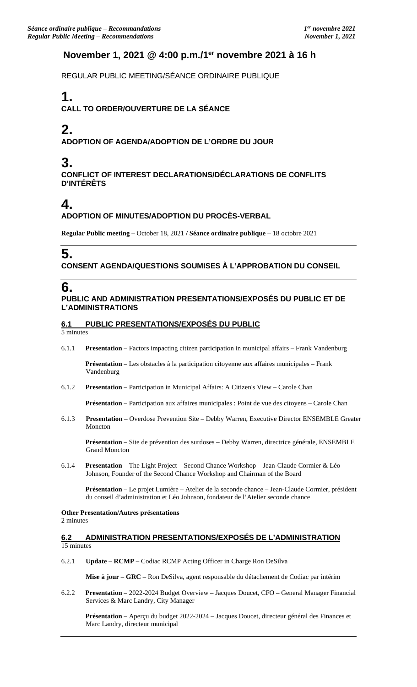## **November 1, 2021 @ 4:00 p.m./1er novembre 2021 à 16 h**

REGULAR PUBLIC MEETING/SÉANCE ORDINAIRE PUBLIQUE

# **1.**

**CALL TO ORDER/OUVERTURE DE LA SÉANCE**

# **2.**

**ADOPTION OF AGENDA/ADOPTION DE L'ORDRE DU JOUR**

# **3.**

**CONFLICT OF INTEREST DECLARATIONS/DÉCLARATIONS DE CONFLITS D'INTÉRÊTS**

## **4.**

### **ADOPTION OF MINUTES/ADOPTION DU PROCÈS-VERBAL**

**Regular Public meeting –** October 18, 2021 **/ Séance ordinaire publique** – 18 octobre 2021

# **5.**

### **CONSENT AGENDA/QUESTIONS SOUMISES À L'APPROBATION DU CONSEIL**

## **6.**

### **PUBLIC AND ADMINISTRATION PRESENTATIONS/EXPOSÉS DU PUBLIC ET DE L'ADMINISTRATIONS**

### **6.1 PUBLIC PRESENTATIONS/EXPOSÉS DU PUBLIC**

5 minutes

6.1.1 **Presentation** – Factors impacting citizen participation in municipal affairs – Frank Vandenburg

**Présentation** – Les obstacles à la participation citoyenne aux affaires municipales – Frank Vandenburg

6.1.2 **Presentation** – Participation in Municipal Affairs: A Citizen's View – Carole Chan

**Présentation** – Participation aux affaires municipales : Point de vue des citoyens – Carole Chan

6.1.3 **Presentation** – Overdose Prevention Site – Debby Warren, Executive Director ENSEMBLE Greater Moncton

**Présentation** – Site de prévention des surdoses – Debby Warren, directrice générale, ENSEMBLE Grand Moncton

6.1.4 **Presentation** – The Light Project – Second Chance Workshop – Jean-Claude Cormier & Léo Johnson, Founder of the Second Chance Workshop and Chairman of the Board

**Présentation** – Le projet Lumière – Atelier de la seconde chance – Jean-Claude Cormier, président du conseil d'administration et Léo Johnson, fondateur de l'Atelier seconde chance

#### **Other Presentation/Autres présentations**  2 minutes

### **6.2 ADMINISTRATION PRESENTATIONS/EXPOSÉS DE L'ADMINISTRATION**  15 minutes

6.2.1 **Update** – **RCMP** – Codiac RCMP Acting Officer in Charge Ron DeSilva

**Mise à jour** – **GRC** – Ron DeSilva, agent responsable du détachement de Codiac par intérim

6.2.2 **Presentation** – 2022-2024 Budget Overview – Jacques Doucet, CFO – General Manager Financial Services & Marc Landry, City Manager

**Présentation** – Aperçu du budget 2022-2024 – Jacques Doucet, directeur général des Finances et Marc Landry, directeur municipal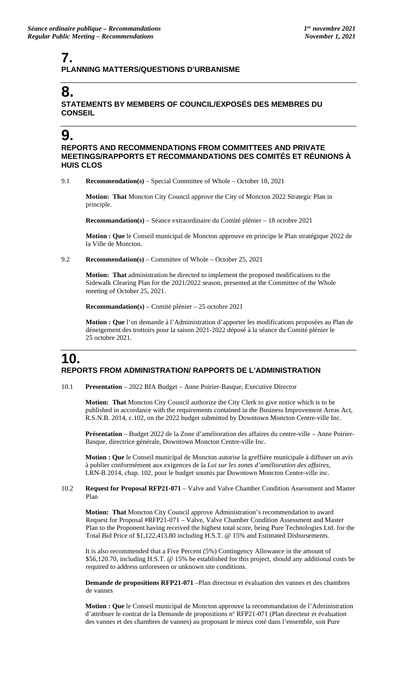## **7. PLANNING MATTERS/QUESTIONS D'URBANISME**

# **8.**

### **STATEMENTS BY MEMBERS OF COUNCIL/EXPOSÉS DES MEMBRES DU CONSEIL**

## **9.**

**REPORTS AND RECOMMENDATIONS FROM COMMITTEES AND PRIVATE MEETINGS/RAPPORTS ET RECOMMANDATIONS DES COMITÉS ET RÉUNIONS À HUIS CLOS**

9.1 **Recommendation(s)** – Special Committee of Whole – October 18, 2021

**Motion: That** Moncton City Council approve the City of Moncton 2022 Strategic Plan in principle.

**Recommandation(s)** – Séance extraordinaire du Comité plénier – 18 octobre 2021

**Motion : Que** le Conseil municipal de Moncton approuve en principe le Plan stratégique 2022 de la Ville de Moncton.

#### 9.2 **Recommendation(s)** – Committee of Whole – October 25, 2021

**Motion: That** administration be directed to implement the proposed modifications to the Sidewalk Clearing Plan for the 2021/2022 season, presented at the Committee of the Whole meeting of October 25, 2021.

**Recommandation(s)** – Comité plénier – 25 octobre 2021

**Motion : Que** l'on demande à l'Administration d'apporter les modifications proposées au Plan de déneigement des trottoirs pour la saison 2021-2022 déposé à la séance du Comité plénier le 25 octobre 2021.

## **10. REPORTS FROM ADMINISTRATION/ RAPPORTS DE L'ADMINISTRATION**

10.1 **Presentation** – 2022 BIA Budget – Anne Poirier-Basque, Executive Director

**Motion: That** Moncton City Council authorize the City Clerk to give notice which is to be published in accordance with the requirements contained in the Business Improvement Areas Act, R.S.N.B. 2014, c.102, on the 2022 budget submitted by Downtown Moncton Centre-ville Inc.

**Présentation** – Budget 2022 de la Zone d'amélioration des affaires du centre-ville – Anne Poirier-Basque, directrice générale, Downtown Moncton Centre-ville Inc.

**Motion : Que** le Conseil municipal de Moncton autorise la greffière municipale à diffuser un avis à publier conformément aux exigences de la *Loi sur les zones d'amélioration des affaires*, LRN-B 2014, chap. 102, pour le budget soumis par Downtown Moncton Centre-ville inc.

#### 10.2 **Request for Proposal RFP21-071** – Valve and Valve Chamber Condition Assessment and Master Plan

**Motion: That** Moncton City Council approve Administration's recommendation to award Request for Proposal #RFP21-071 – Valve, Valve Chamber Condition Assessment and Master Plan to the Proponent having received the highest total score, being Pure Technologies Ltd. for the Total Bid Price of \$1,122,413.80 including H.S.T. @ 15% and Estimated Disbursements.

It is also recommended that a Five Percent (5%) Contingency Allowance in the amount of \$56,120.70, including H.S.T. @ 15% be established for this project, should any additional costs be required to address unforeseen or unknown site conditions.

**Demande de propositions RFP21-071** –Plan directeur et évaluation des vannes et des chambres de vannes

**Motion : Que** le Conseil municipal de Moncton approuve la recommandation de l'Administration d'attribuer le contrat de la Demande de propositions n° RFP21-071 (Plan directeur et évaluation des vannes et des chambres de vannes) au proposant le mieux coté dans l'ensemble, soit Pure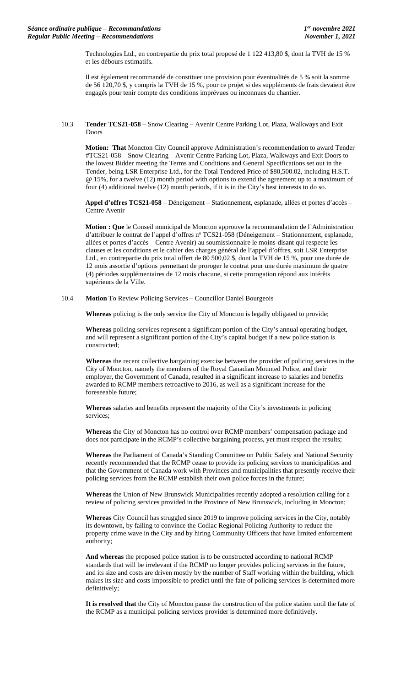Technologies Ltd., en contrepartie du prix total proposé de 1 122 413,80 \$, dont la TVH de 15 % et les débours estimatifs.

Il est également recommandé de constituer une provision pour éventualités de 5 % soit la somme de 56 120,70 \$, y compris la TVH de 15 %, pour ce projet si des suppléments de frais devaient être engagés pour tenir compte des conditions imprévues ou inconnues du chantier.

10.3 **Tender TCS21-058** – Snow Clearing – Avenir Centre Parking Lot, Plaza, Walkways and Exit Doors

**Motion: That** Moncton City Council approve Administration's recommendation to award Tender #TCS21-058 – Snow Clearing – Avenir Centre Parking Lot, Plaza, Walkways and Exit Doors to the lowest Bidder meeting the Terms and Conditions and General Specifications set out in the Tender, being LSR Enterprise Ltd., for the Total Tendered Price of \$80,500.02, including H.S.T. @ 15%, for a twelve (12) month period with options to extend the agreement up to a maximum of four (4) additional twelve (12) month periods, if it is in the City's best interests to do so.

**Appel d'offres TCS21-058** – Déneigement – Stationnement, esplanade, allées et portes d'accès – Centre Avenir

**Motion : Que** le Conseil municipal de Moncton approuve la recommandation de l'Administration d'attribuer le contrat de l'appel d'offres nº TCS21-058 (Déneigement - Stationnement, esplanade, allées et portes d'accès – Centre Avenir) au soumissionnaire le moins-disant qui respecte les clauses et les conditions et le cahier des charges général de l'appel d'offres, soit LSR Enterprise Ltd., en contrepartie du prix total offert de 80 500,02 \$, dont la TVH de 15 %, pour une durée de 12 mois assortie d'options permettant de proroger le contrat pour une durée maximum de quatre (4) périodes supplémentaires de 12 mois chacune, si cette prorogation répond aux intérêts supérieurs de la Ville.

10.4 **Motion** To Review Policing Services – Councillor Daniel Bourgeois

**Whereas** policing is the only service the City of Moncton is legally obligated to provide;

**Whereas** policing services represent a significant portion of the City's annual operating budget, and will represent a significant portion of the City's capital budget if a new police station is constructed;

**Whereas** the recent collective bargaining exercise between the provider of policing services in the City of Moncton, namely the members of the Royal Canadian Mounted Police, and their employer, the Government of Canada, resulted in a significant increase to salaries and benefits awarded to RCMP members retroactive to 2016, as well as a significant increase for the foreseeable future;

**Whereas** salaries and benefits represent the majority of the City's investments in policing services;

**Whereas** the City of Moncton has no control over RCMP members' compensation package and does not participate in the RCMP's collective bargaining process, yet must respect the results;

**Whereas** the Parliament of Canada's Standing Committee on Public Safety and National Security recently recommended that the RCMP cease to provide its policing services to municipalities and that the Government of Canada work with Provinces and municipalities that presently receive their policing services from the RCMP establish their own police forces in the future;

**Whereas** the Union of New Brunswick Municipalities recently adopted a resolution calling for a review of policing services provided in the Province of New Brunswick, including in Moncton;

**Whereas** City Council has struggled since 2019 to improve policing services in the City, notably its downtown, by failing to convince the Codiac Regional Policing Authority to reduce the property crime wave in the City and by hiring Community Officers that have limited enforcement authority;

**And whereas** the proposed police station is to be constructed according to national RCMP standards that will be irrelevant if the RCMP no longer provides policing services in the future, and its size and costs are driven mostly by the number of Staff working within the building, which makes its size and costs impossible to predict until the fate of policing services is determined more definitively;

**It is resolved that** the City of Moncton pause the construction of the police station until the fate of the RCMP as a municipal policing services provider is determined more definitively.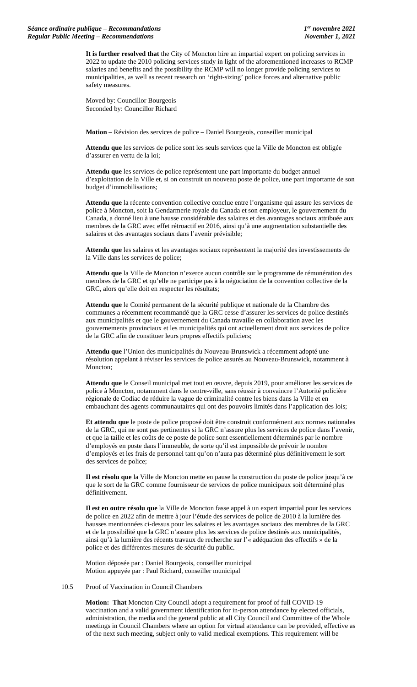**It is further resolved that** the City of Moncton hire an impartial expert on policing services in 2022 to update the 2010 policing services study in light of the aforementioned increases to RCMP salaries and benefits and the possibility the RCMP will no longer provide policing services to municipalities, as well as recent research on 'right-sizing' police forces and alternative public safety measures.

Moved by: Councillor Bourgeois Seconded by: Councillor Richard

**Motion** – Révision des services de police – Daniel Bourgeois, conseiller municipal

**Attendu que** les services de police sont les seuls services que la Ville de Moncton est obligée d'assurer en vertu de la loi;

**Attendu que** les services de police représentent une part importante du budget annuel d'exploitation de la Ville et, si on construit un nouveau poste de police, une part importante de son budget d'immobilisations;

**Attendu que** la récente convention collective conclue entre l'organisme qui assure les services de police à Moncton, soit la Gendarmerie royale du Canada et son employeur, le gouvernement du Canada, a donné lieu à une hausse considérable des salaires et des avantages sociaux attribuée aux membres de la GRC avec effet rétroactif en 2016, ainsi qu'à une augmentation substantielle des salaires et des avantages sociaux dans l'avenir prévisible;

**Attendu que** les salaires et les avantages sociaux représentent la majorité des investissements de la Ville dans les services de police;

**Attendu que** la Ville de Moncton n'exerce aucun contrôle sur le programme de rémunération des membres de la GRC et qu'elle ne participe pas à la négociation de la convention collective de la GRC, alors qu'elle doit en respecter les résultats;

**Attendu que** le Comité permanent de la sécurité publique et nationale de la Chambre des communes a récemment recommandé que la GRC cesse d'assurer les services de police destinés aux municipalités et que le gouvernement du Canada travaille en collaboration avec les gouvernements provinciaux et les municipalités qui ont actuellement droit aux services de police de la GRC afin de constituer leurs propres effectifs policiers;

**Attendu que** l'Union des municipalités du Nouveau-Brunswick a récemment adopté une résolution appelant à réviser les services de police assurés au Nouveau-Brunswick, notamment à Moncton:

**Attendu que** le Conseil municipal met tout en œuvre, depuis 2019, pour améliorer les services de police à Moncton, notamment dans le centre-ville, sans réussir à convaincre l'Autorité policière régionale de Codiac de réduire la vague de criminalité contre les biens dans la Ville et en embauchant des agents communautaires qui ont des pouvoirs limités dans l'application des lois;

**Et attendu que** le poste de police proposé doit être construit conformément aux normes nationales de la GRC, qui ne sont pas pertinentes si la GRC n'assure plus les services de police dans l'avenir, et que la taille et les coûts de ce poste de police sont essentiellement déterminés par le nombre d'employés en poste dans l'immeuble, de sorte qu'il est impossible de prévoir le nombre d'employés et les frais de personnel tant qu'on n'aura pas déterminé plus définitivement le sort des services de police;

**Il est résolu que** la Ville de Moncton mette en pause la construction du poste de police jusqu'à ce que le sort de la GRC comme fournisseur de services de police municipaux soit déterminé plus définitivement.

**Il est en outre résolu que** la Ville de Moncton fasse appel à un expert impartial pour les services de police en 2022 afin de mettre à jour l'étude des services de police de 2010 à la lumière des hausses mentionnées ci-dessus pour les salaires et les avantages sociaux des membres de la GRC et de la possibilité que la GRC n'assure plus les services de police destinés aux municipalités, ainsi qu'à la lumière des récents travaux de recherche sur l'« adéquation des effectifs » de la police et des différentes mesures de sécurité du public.

Motion déposée par : Daniel Bourgeois, conseiller municipal Motion appuyée par : Paul Richard, conseiller municipal

#### 10.5 Proof of Vaccination in Council Chambers

**Motion: That** Moncton City Council adopt a requirement for proof of full COVID-19 vaccination and a valid government identification for in-person attendance by elected officials, administration, the media and the general public at all City Council and Committee of the Whole meetings in Council Chambers where an option for virtual attendance can be provided, effective as of the next such meeting, subject only to valid medical exemptions. This requirement will be